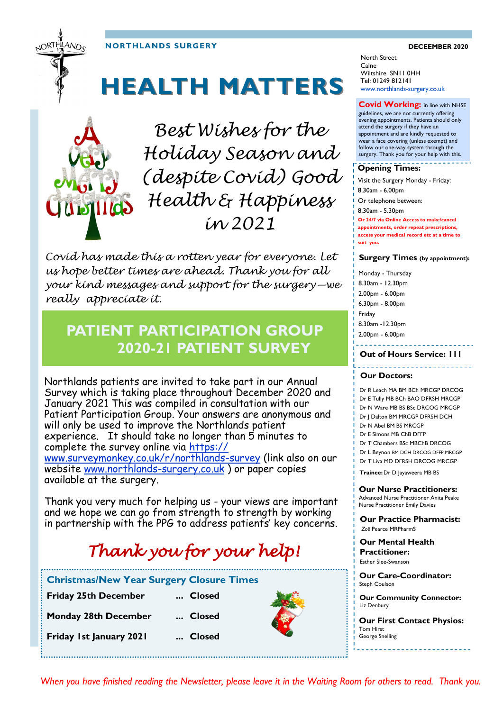**NORTHLANDS SURGERY DECEEMBER 2020**

JORTHLAND<sub>C</sub>

# **HEALTH MATTERS**



*Best Wishes for the Holiday Season and (despite Covid) Good Health & Happiness in 2021*

*Covid has made this a rotten year for everyone. Let us hope better times are ahead. Thank you for all your kind messages and support for the surgery—we really appreciate it.*

## **PATIENT PARTICIPATION GROUP 2020-21 PATIENT SURVEY**

Northlands patients are invited to take part in our Annual Survey which is taking place throughout December 2020 and January 2021 This was compiled in consultation with our Patient Participation Group. Your answers are anonymous and will only be used to improve the Northlands patient experience. It should take no longer than 5 minutes to complete the survey online via [https://](https://www.surveymonkey.co.uk/r/northlands-survey) [www.surveymonkey.co.uk/r/northlands](https://www.surveymonkey.co.uk/r/northlands-survey)-survey (link also on our website [www.northlands](http://www.northlands-surgery.co.uk)-surgery.co.uk ) or paper copies

available at the surgery.

Thank you very much for helping us - your views are important and we hope we can go from strength to strength by working in partnership with the PPG to address patients' key concerns.

# *Thank you for your help!*

| <b>Christmas/New Year Surgery Closure Times</b> |        |
|-------------------------------------------------|--------|
| <b>Friday 25th December</b>                     | Closed |
| <b>Monday 28th December</b>                     | Closed |
| Friday 1st January 2021                         | Closed |
|                                                 |        |

North Street Calne Wiltshire SN11 0HH Tel: 01249 812141 www.northlands-surgery.co.uk

### **Covid Working:** in line with NHSE

guidelines, we are not currently offering evening appointments. Patients should only attend the surgery if they have an appointment and are kindly requested to wear a face covering (unless exempt) and follow our one-way system through the surgery. Thank you for your help with this.

#### **Opening Times:**

Visit the Surgery Monday - Friday: 8.30am - 6.00pm Or telephone between: 8.30am - 5.30pm **Or 24/7 via Online Access to make/cancel appointments, order repeat prescriptions, access your medical record etc at a time to suit you.** 

#### **Surgery Times (by appointment):**

Monday - Thursday 8.30am - 12.30pm 2.00pm - 6.00pm 6.30pm - 8.00pm Friday 8.30am -12.30pm 2.00pm - 6.00pm **Out of Hours Service: 111**

#### **Our Doctors:**

Dr R Leach MA BM BCh MRCGP DRCOG Dr E Tully MB BCh BAO DFRSH MRCGP Dr N Ware MB BS BSc DRCOG MRCGP Dr J Dalton BM MRCGP DFRSH DCH Dr N Abel BM BS MRCGP Dr E Simons MB ChB DFFP Dr T Chambers BSc MBChB DRCOG Dr L Beynon BM DCH DRCOG DFFP MRCGP Dr T Liva MD DFRSH DRCOG MRCGP

**Trainee:** Dr D Jayaweera MB BS

**Our Nurse Practitioners:**  Advanced Nurse Practitioner Anita Peake Nurse Practitioner Emily Davies

**Our Practice Pharmacist:**  *Zoë* Pearce MRPharmS

**Our Mental Health Practitioner:**  Esther Slee-Swanson

**Our Care-Coordinator:**  Steph Coulson

**Our Community Connector:**  Liz Denbury

**Our First Contact Physios:**  Tom Hirst George Snelling

*When you have finished reading the Newsletter, please leave it in the Waiting Room for others to read. Thank you.*